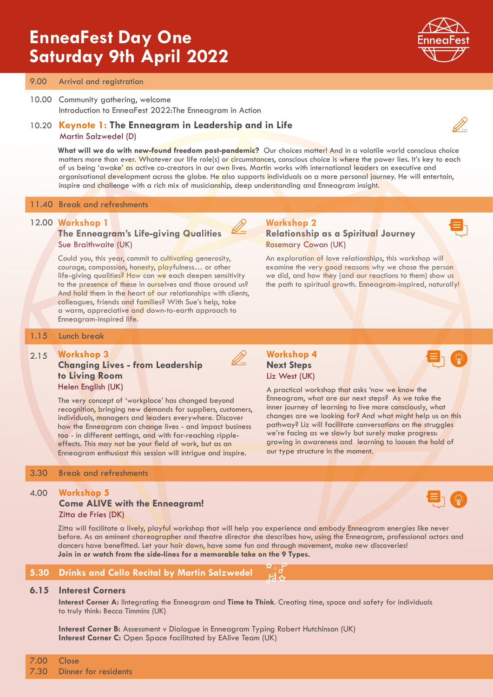## **EnneaFest Day One Saturday 9th April 2022**



### 9.00 Arrival and registration

### 10.00 Community gathering, welcome Introduction to EnneaFest 2022:The Enneagram in Action

### 10.20 **Keynote 1: The Enneagram in Leadership and in Life**  Martin Salzwedel (D)

**What will we do with new-found freedom post-pandemic?** Our choices matter! And in a volatile world conscious choice matters more than ever. Whatever our life role(s) or circumstances, conscious choice is where the power lies. It's key to each of us being 'awake' as active co-creators in our own lives. Martin works with international leaders on executive and organisational development across the globe. He also supports individuals on a more personal journey. He will entertain, inspire and challenge with a rich mix of musicianship, deep understanding and Enneagram insight.

### 11.40 Break and refreshments

### **Workshop 1** 12.00

### **The Enneagram's Life-giving Qualities**  Sue Braithwaite (UK)

Could you, this year, commit to cultivating generosity, courage, compassion, honesty, playfulness… or other life-giving qualities? How can we each deepen sensitivity to the presence of these in ourselves and those around us? And hold them in the heart of our relationships with clients, colleagues, friends and families? With Sue's help, take a warm, appreciative and down-to-earth approach to Enneagram-inspired life.

### **Workshop 2 Relationship as a Spiritual Journey**  Rosemary Cowan (UK)

An exploration of love relationships, this workshop will examine the very good reasons why we chose the person we did, and how they (and our reactions to them) show us the path to spiritual growth. Enneagram-inspired, naturally!

### 1.15 Lunch break

#### **Workshop 3**  2.15

### **Changing Lives - from Leadership to Living Room** Helen English (UK)

The very concept of 'workplace' has changed beyond recognition, bringing new demands for suppliers, customers, individuals, managers and leaders everywhere. Discover how the Enneagram can change lives - and impact business too - in different settings, and with far-reaching rippleeffects. This may not be your field of work, but as an Enneagram enthusiast this session will intrigue and inspire.

### 3.30 Break and refreshments

### 4.00 **Workshop 5**

### **Come ALIVE with the Enneagram!** Zitta de Fries (DK)

Zitta will facilitate a lively, playful workshop that will help you experience and embody Enneagram energies like never before. As an eminent choreographer and theatre director she describes how, using the Enneagram, professional actors and dancers have benefitted. Let your hair down, have some fun and through movement, make new discoveries! **Join in or watch from the side-lines for a memorable take on the 9 Types.**

### **5.30 Drinks and Cello Recital by Martin Salzwedel**

### **6.15 Interest Corners**

**Interest Corner A:** IIntegrating the Enneagram and **Time to Think**. Creating time, space and safety for individuals to truly think: Becca Timmins (UK)

**Interest Corner B:** Assessment v Dialogue in Enneagram Typing Robert Hutchinson (UK) **Interest Corner C:** Open Space facilitated by EAlive Team (UK)



### **Workshop 4 Next Steps** Liz West (UK)

our type structure in the moment.

A practical workshop that asks 'now we know the Enneagram, what are our next steps? As we take the inner journey of learning to live more consciously, what changes are we looking for? And what might help us on this pathway? Liz will facilitate conversations on the struggles we're facing as we slowly but surely make progress: growing in awareness and learning to loosen the hold of